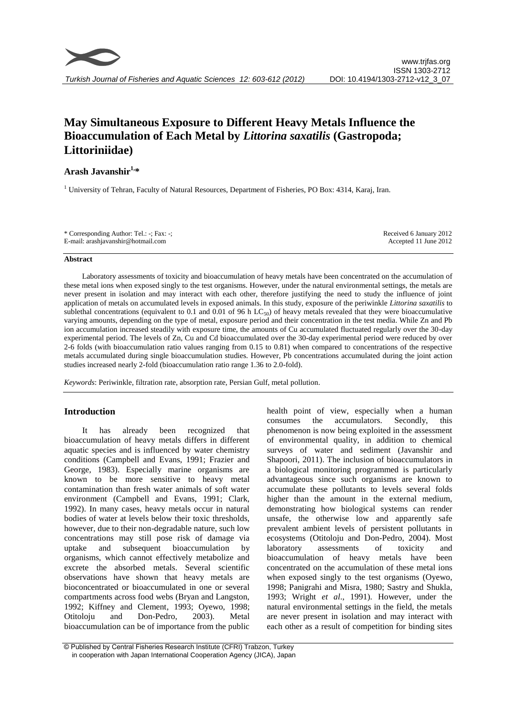# **May Simultaneous Exposure to Different Heavy Metals Influence the Bioaccumulation of Each Metal by** *Littorina saxatilis* **(Gastropoda; Littoriniidae)**

## **Arash Javanshir1,\***

<sup>1</sup> University of Tehran, Faculty of Natural Resources, Department of Fisheries, PO Box: 4314, Karaj, Iran.

| * Corresponding Author: Tel.: -; Fax: -; | Received 6 January 2012 |
|------------------------------------------|-------------------------|
| E-mail: arashiavanshir@hotmail.com       | Accepted 11 June 2012   |

#### **Abstract**

Laboratory assessments of toxicity and bioaccumulation of heavy metals have been concentrated on the accumulation of these metal ions when exposed singly to the test organisms. However, under the natural environmental settings, the metals are never present in isolation and may interact with each other, therefore justifying the need to study the influence of joint application of metals on accumulated levels in exposed animals. In this study, exposure of the periwinkle *Littorina saxatilis* to sublethal concentrations (equivalent to 0.1 and 0.01 of 96 h  $LC_{50}$ ) of heavy metals revealed that they were bioaccumulative varying amounts, depending on the type of metal, exposure period and their concentration in the test media. While Zn and Pb ion accumulation increased steadily with exposure time, the amounts of Cu accumulated fluctuated regularly over the 30-day experimental period. The levels of Zn, Cu and Cd bioaccumulated over the 30-day experimental period were reduced by over 2-6 folds (with bioaccumulation ratio values ranging from 0.15 to 0.81) when compared to concentrations of the respective metals accumulated during single bioaccumulation studies. However, Pb concentrations accumulated during the joint action studies increased nearly 2-fold (bioaccumulation ratio range 1.36 to 2.0-fold).

*Keywords*: Periwinkle, filtration rate, absorption rate, Persian Gulf, metal pollution.

## **Introduction**

It has already been recognized that bioaccumulation of heavy metals differs in different aquatic species and is influenced by water chemistry conditions (Campbell and Evans, 1991; Frazier and George, 1983). Especially marine organisms are known to be more sensitive to heavy metal contamination than fresh water animals of soft water environment (Campbell and Evans, 1991; Clark, 1992). In many cases, heavy metals occur in natural bodies of water at levels below their toxic thresholds, however, due to their non-degradable nature, such low concentrations may still pose risk of damage via uptake and subsequent bioaccumulation by organisms, which cannot effectively metabolize and excrete the absorbed metals. Several scientific observations have shown that heavy metals are bioconcentrated or bioaccumulated in one or several compartments across food webs (Bryan and Langston, 1992; Kiffney and Clement, 1993; Oyewo, 1998; Otitoloju and Don-Pedro, 2003). Metal bioaccumulation can be of importance from the public

health point of view, especially when a human consumes the accumulators. Secondly, this phenomenon is now being exploited in the assessment of environmental quality, in addition to chemical surveys of water and sediment (Javanshir and Shapoori, 2011). The inclusion of bioaccumulators in a biological monitoring programmed is particularly advantageous since such organisms are known to accumulate these pollutants to levels several folds higher than the amount in the external medium, demonstrating how biological systems can render unsafe, the otherwise low and apparently safe prevalent ambient levels of persistent pollutants in ecosystems (Otitoloju and Don-Pedro, 2004). Most laboratory assessments of toxicity and bioaccumulation of heavy metals have been concentrated on the accumulation of these metal ions when exposed singly to the test organisms (Oyewo, 1998; Panigrahi and Misra, 1980; Sastry and Shukla, 1993; Wright *et al*., 1991). However, under the natural environmental settings in the field, the metals are never present in isolation and may interact with each other as a result of competition for binding sites

<sup>©</sup> Published by Central Fisheries Research Institute (CFRI) Trabzon, Turkey in cooperation with Japan International Cooperation Agency (JICA), Japan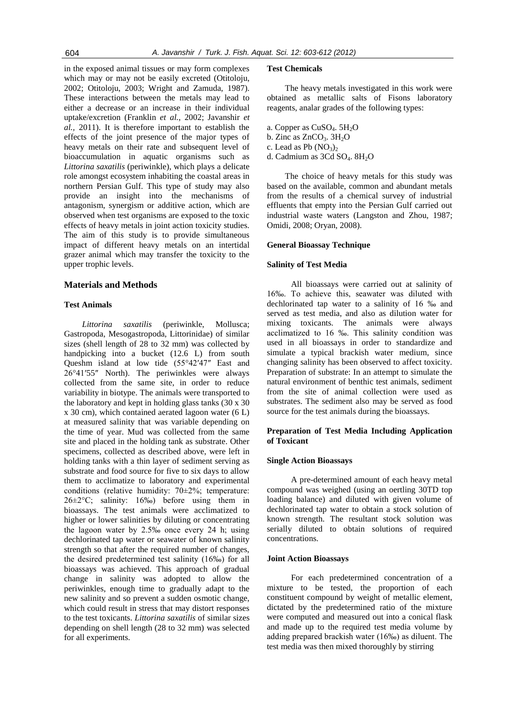in the exposed animal tissues or may form complexes which may or may not be easily excreted (Otitoloju, 2002; Otitoloju, 2003; Wright and Zamuda, 1987). These interactions between the metals may lead to either a decrease or an increase in their individual uptake/excretion (Franklin *et al.,* 2002; Javanshir *et al.,* 2011). It is therefore important to establish the effects of the joint presence of the major types of heavy metals on their rate and subsequent level of bioaccumulation in aquatic organisms such as *Littorina saxatilis* (periwinkle), which plays a delicate role amongst ecosystem inhabiting the coastal areas in northern Persian Gulf. This type of study may also provide an insight into the mechanisms of antagonism, synergism or additive action, which are observed when test organisms are exposed to the toxic effects of heavy metals in joint action toxicity studies. The aim of this study is to provide simultaneous impact of different heavy metals on an intertidal grazer animal which may transfer the toxicity to the upper trophic levels.

## **Materials and Methods**

## **Test Animals**

*Littorina saxatilis* (periwinkle, Mollusca; Gastropoda, Mesogastropoda, Littorinidae) of similar sizes (shell length of 28 to 32 mm) was collected by handpicking into a bucket (12.6 L) from south Queshm island at low tide (55°42′47″ East and 26°41′55″ North). The periwinkles were always collected from the same site, in order to reduce variability in biotype. The animals were transported to the laboratory and kept in holding glass tanks (30 x 30 x 30 cm), which contained aerated lagoon water (6 L) at measured salinity that was variable depending on the time of year. Mud was collected from the same site and placed in the holding tank as substrate. Other specimens, collected as described above, were left in holding tanks with a thin layer of sediment serving as substrate and food source for five to six days to allow them to acclimatize to laboratory and experimental conditions (relative humidity: 70±2%; temperature:  $26\pm2\degree C$ ; salinity: 16‰) before using them in bioassays. The test animals were acclimatized to higher or lower salinities by diluting or concentrating the lagoon water by 2.5‰ once every 24 h; using dechlorinated tap water or seawater of known salinity strength so that after the required number of changes, the desired predetermined test salinity (16‰) for all bioassays was achieved. This approach of gradual change in salinity was adopted to allow the periwinkles, enough time to gradually adapt to the new salinity and so prevent a sudden osmotic change, which could result in stress that may distort responses to the test toxicants. *Littorina saxatilis* of similar sizes depending on shell length (28 to 32 mm) was selected for all experiments.

#### **Test Chemicals**

The heavy metals investigated in this work were obtained as metallic salts of Fisons laboratory reagents, analar grades of the following types:

a. Copper as  $CuSO<sub>4</sub>$ ,  $5H<sub>2</sub>O$ b. Zinc as  $ZnCO<sub>3</sub>$ .  $3H<sub>2</sub>O$ c. Lead as Pb  $(NO_3)_2$ d. Cadmium as 3Cd SO<sub>4</sub>. 8H<sub>2</sub>O

The choice of heavy metals for this study was based on the available, common and abundant metals from the results of a chemical survey of industrial effluents that empty into the Persian Gulf carried out industrial waste waters (Langston and Zhou, 1987; Omidi, 2008; Oryan, 2008).

#### **General Bioassay Technique**

#### **Salinity of Test Media**

All bioassays were carried out at salinity of 16‰. To achieve this, seawater was diluted with dechlorinated tap water to a salinity of 16 ‰ and served as test media, and also as dilution water for mixing toxicants. The animals were always acclimatized to 16 ‰. This salinity condition was used in all bioassays in order to standardize and simulate a typical brackish water medium, since changing salinity has been observed to affect toxicity. Preparation of substrate: In an attempt to simulate the natural environment of benthic test animals, sediment from the site of animal collection were used as substrates. The sediment also may be served as food source for the test animals during the bioassays.

## **Preparation of Test Media Including Application of Toxicant**

#### **Single Action Bioassays**

A pre-determined amount of each heavy metal compound was weighed (using an oertling 30TD top loading balance) and diluted with given volume of dechlorinated tap water to obtain a stock solution of known strength. The resultant stock solution was serially diluted to obtain solutions of required concentrations.

#### **Joint Action Bioassays**

For each predetermined concentration of a mixture to be tested, the proportion of each constituent compound by weight of metallic element, dictated by the predetermined ratio of the mixture were computed and measured out into a conical flask and made up to the required test media volume by adding prepared brackish water (16‰) as diluent. The test media was then mixed thoroughly by stirring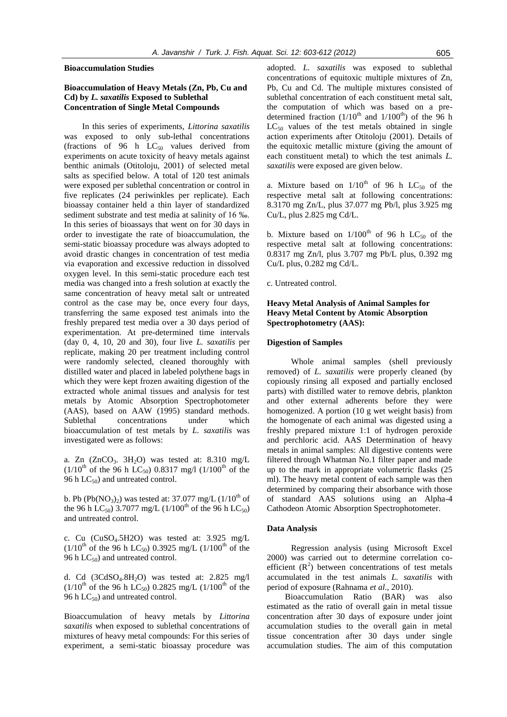#### **Bioaccumulation Studies**

## **Bioaccumulation of Heavy Metals (Zn, Pb, Cu and Cd) by** *L. saxatilis* **Exposed to Sublethal Concentration of Single Metal Compounds**

In this series of experiments, *Littorina saxatilis* was exposed to only sub-lethal concentrations (fractions of 96 h  $LC_{50}$  values derived from experiments on acute toxicity of heavy metals against benthic animals (Otitoloju, 2001) of selected metal salts as specified below. A total of 120 test animals were exposed per sublethal concentration or control in five replicates (24 periwinkles per replicate). Each bioassay container held a thin layer of standardized sediment substrate and test media at salinity of 16 ‰. In this series of bioassays that went on for 30 days in order to investigate the rate of bioaccumulation, the semi-static bioassay procedure was always adopted to avoid drastic changes in concentration of test media via evaporation and excessive reduction in dissolved oxygen level. In this semi-static procedure each test media was changed into a fresh solution at exactly the same concentration of heavy metal salt or untreated control as the case may be, once every four days, transferring the same exposed test animals into the freshly prepared test media over a 30 days period of experimentation. At pre-determined time intervals (day 0, 4, 10, 20 and 30), four live *L. saxatilis* per replicate, making 20 per treatment including control were randomly selected, cleaned thoroughly with distilled water and placed in labeled polythene bags in which they were kept frozen awaiting digestion of the extracted whole animal tissues and analysis for test metals by Atomic Absorption Spectrophotometer (AAS), based on AAW (1995) standard methods. Sublethal concentrations under which bioaccumulation of test metals by *L. saxatilis* was investigated were as follows:

a. Zn  $(ZnCO<sub>3</sub>$ .  $3H<sub>2</sub>O)$  was tested at: 8.310 mg/L  $(1/10^{th}$  of the 96 h LC<sub>50</sub>) 0.8317 mg/l  $(1/100^{th}$  of the 96 h  $LC_{50}$ ) and untreated control.

b. Pb (Pb(NO<sub>3</sub>)<sub>2</sub>) was tested at: 37.077 mg/L (1/10<sup>th</sup> of the 96 h LC<sub>50</sub>) 3.7077 mg/L (1/100<sup>th</sup> of the 96 h LC<sub>50</sub>) and untreated control.

c. Cu  $(CuSO<sub>4</sub>.5H2O)$  was tested at: 3.925 mg/L  $(1/10^{th}$  of the 96 h LC<sub>50</sub>) 0.3925 mg/L  $(1/100^{th})$  of the 96 h  $LC_{50}$ ) and untreated control.

d. Cd  $(3CdSO<sub>4</sub>.8H<sub>2</sub>O)$  was tested at: 2.825 mg/l  $(1/10^{th}$  of the 96 h LC<sub>50</sub>) 0.2825 mg/L  $(1/100^{th})$  of the 96 h  $LC_{50}$ ) and untreated control.

Bioaccumulation of heavy metals by *Littorina saxatilis* when exposed to sublethal concentrations of mixtures of heavy metal compounds: For this series of experiment, a semi-static bioassay procedure was

adopted. *L. saxatilis* was exposed to sublethal concentrations of equitoxic multiple mixtures of Zn, Pb, Cu and Cd. The multiple mixtures consisted of sublethal concentration of each constituent metal salt, the computation of which was based on a predetermined fraction  $(1/10^{th}$  and  $1/100^{th}$ ) of the 96 h  $LC_{50}$  values of the test metals obtained in single action experiments after Otitoloju (2001). Details of the equitoxic metallic mixture (giving the amount of each constituent metal) to which the test animals *L. saxatilis* were exposed are given below.

a. Mixture based on  $1/10^{th}$  of 96 h LC<sub>50</sub> of the respective metal salt at following concentrations: 8.3170 mg Zn/L, plus 37.077 mg Pb/l, plus 3.925 mg Cu/L, plus 2.825 mg Cd/L.

b. Mixture based on  $1/100^{th}$  of 96 h LC<sub>50</sub> of the respective metal salt at following concentrations: 0.8317 mg Zn/l, plus 3.707 mg Pb/L plus, 0.392 mg Cu/L plus, 0.282 mg Cd/L.

c. Untreated control.

## **Heavy Metal Analysis of Animal Samples for Heavy Metal Content by Atomic Absorption Spectrophotometry (AAS):**

## **Digestion of Samples**

Whole animal samples (shell previously removed) of *L. saxatilis* were properly cleaned (by copiously rinsing all exposed and partially enclosed parts) with distilled water to remove debris, plankton and other external adherents before they were homogenized. A portion (10 g wet weight basis) from the homogenate of each animal was digested using a freshly prepared mixture 1:1 of hydrogen peroxide and perchloric acid. AAS Determination of heavy metals in animal samples: All digestive contents were filtered through Whatman No.1 filter paper and made up to the mark in appropriate volumetric flasks (25 ml). The heavy metal content of each sample was then determined by comparing their absorbance with those of standard AAS solutions using an Alpha-4 Cathodeon Atomic Absorption Spectrophotometer.

#### **Data Analysis**

Regression analysis (using Microsoft Excel 2000) was carried out to determine correlation coefficient  $(R^2)$  between concentrations of test metals accumulated in the test animals *L. saxatilis* with period of exposure (Rahnama *et al*., 2010).

Bioaccumulation Ratio (BAR) was also estimated as the ratio of overall gain in metal tissue concentration after 30 days of exposure under joint accumulation studies to the overall gain in metal tissue concentration after 30 days under single accumulation studies. The aim of this computation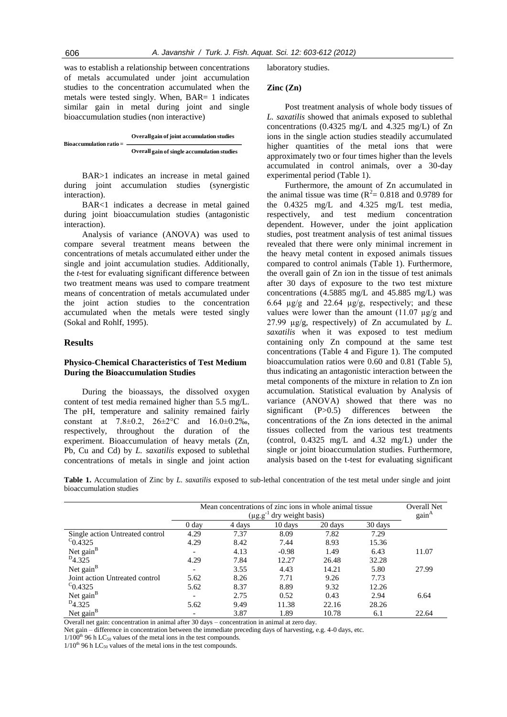was to establish a relationship between concentrations of metals accumulated under joint accumulation studies to the concentration accumulated when the metals were tested singly. When, BAR= 1 indicates similar gain in metal during joint and single bioaccumulation studies (non interactive)

**Bioaccumulation ratio = Overallgain of joint accumulation studies Overall gain of single accumulation studies**

BAR>1 indicates an increase in metal gained during joint accumulation studies (synergistic interaction).

BAR<1 indicates a decrease in metal gained during joint bioaccumulation studies (antagonistic interaction).

Analysis of variance (ANOVA) was used to compare several treatment means between the concentrations of metals accumulated either under the single and joint accumulation studies. Additionally, the *t*-test for evaluating significant difference between two treatment means was used to compare treatment means of concentration of metals accumulated under the joint action studies to the concentration accumulated when the metals were tested singly (Sokal and Rohlf, 1995).

#### **Results**

## **Physico-Chemical Characteristics of Test Medium During the Bioaccumulation Studies**

During the bioassays, the dissolved oxygen content of test media remained higher than 5.5 mg/L. The pH, temperature and salinity remained fairly constant at 7.8±0.2, 26±2°C and 16.0±0.2‰, respectively, throughout the duration of the experiment. Bioaccumulation of heavy metals (Zn, Pb, Cu and Cd) by *L. saxatilis* exposed to sublethal concentrations of metals in single and joint action laboratory studies.

#### **Zinc (Zn)**

Post treatment analysis of whole body tissues of *L. saxatilis* showed that animals exposed to sublethal concentrations (0.4325 mg/L and 4.325 mg/L) of Zn ions in the single action studies steadily accumulated higher quantities of the metal ions that were approximately two or four times higher than the levels accumulated in control animals, over a 30-day experimental period (Table 1).

Furthermore, the amount of Zn accumulated in the animal tissue was time  $(R^2 = 0.818$  and 0.9789 for the 0.4325 mg/L and 4.325 mg/L test media, respectively, and test medium concentration dependent. However, under the joint application studies, post treatment analysis of test animal tissues revealed that there were only minimal increment in the heavy metal content in exposed animals tissues compared to control animals (Table 1). Furthermore, the overall gain of Zn ion in the tissue of test animals after 30 days of exposure to the two test mixture concentrations (4.5885 mg/L and 45.885 mg/L) was 6.64 µg/g and 22.64 µg/g, respectively; and these values were lower than the amount  $(11.07 \text{ kg/g}$  and 27.99 µg/g, respectively) of Zn accumulated by *L. saxatilis* when it was exposed to test medium containing only Zn compound at the same test concentrations (Table 4 and Figure 1). The computed bioaccumulation ratios were 0.60 and 0.81 (Table 5), thus indicating an antagonistic interaction between the metal components of the mixture in relation to Zn ion accumulation. Statistical evaluation by Analysis of variance (ANOVA) showed that there was no significant (P>0.5) differences between the concentrations of the Zn ions detected in the animal tissues collected from the various test treatments (control, 0.4325 mg/L and 4.32 mg/L) under the single or joint bioaccumulation studies. Furthermore, analysis based on the t-test for evaluating significant

**Table 1.** Accumulation of Zinc by *L. saxatilis* exposed to sub-lethal concentration of the test metal under single and joint bioaccumulation studies

|                                 | Mean concentrations of zinc ions in whole animal tissue<br>$(\mu$ g.g $^{-1}$<br>dry weight basis) |        |         |         |         | Overall Net<br>gain <sup>A</sup> |
|---------------------------------|----------------------------------------------------------------------------------------------------|--------|---------|---------|---------|----------------------------------|
|                                 | 0 <sub>day</sub>                                                                                   | 4 days | 10 days | 20 days | 30 days |                                  |
| Single action Untreated control | 4.29                                                                                               | 7.37   | 8.09    | 7.82    | 7.29    |                                  |
| $C_{0.4325}$                    | 4.29                                                                                               | 8.42   | 7.44    | 8.93    | 15.36   |                                  |
| Net $gain^B$                    |                                                                                                    | 4.13   | $-0.98$ | 1.49    | 6.43    | 11.07                            |
| $D_{4.325}$                     | 4.29                                                                                               | 7.84   | 12.27   | 26.48   | 32.28   |                                  |
| Net $gainB$                     |                                                                                                    | 3.55   | 4.43    | 14.21   | 5.80    | 27.99                            |
| Joint action Untreated control  | 5.62                                                                                               | 8.26   | 7.71    | 9.26    | 7.73    |                                  |
| $C_{0.4325}$                    | 5.62                                                                                               | 8.37   | 8.89    | 9.32    | 12.26   |                                  |
| Net $gainB$                     |                                                                                                    | 2.75   | 0.52    | 0.43    | 2.94    | 6.64                             |
| $D_{4.325}$                     | 5.62                                                                                               | 9.49   | 11.38   | 22.16   | 28.26   |                                  |
| Net $gain^B$                    |                                                                                                    | 3.87   | 1.89    | 10.78   | 6.1     | 22.64                            |

Overall net gain: concentration in animal after 30 days – concentration in animal at zero day.

Net gain – difference in concentration between the immediate preceding days of harvesting, e.g. 4-0 days, etc.

 $1/100^{th}$  96 h LC<sub>50</sub> values of the metal ions in the test compounds.

 $1/10^{th}$  96 h LC<sub>50</sub> values of the metal ions in the test compounds.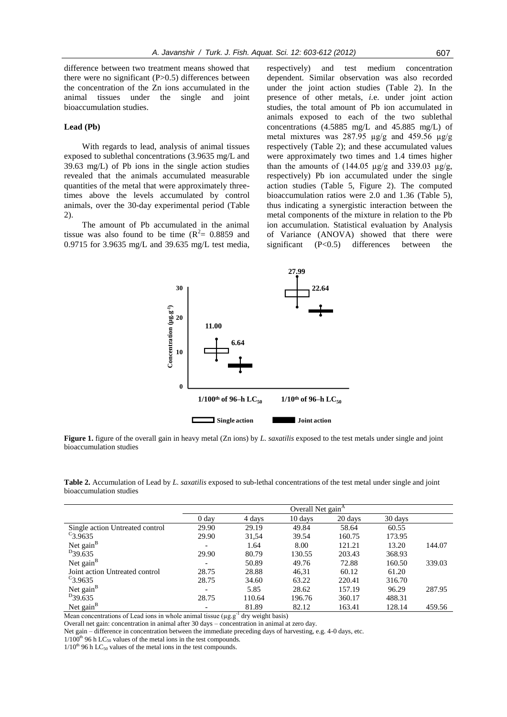difference between two treatment means showed that there were no significant  $(P>0.5)$  differences between the concentration of the Zn ions accumulated in the animal tissues under the single and joint bioaccumulation studies.

## **Lead (Pb)**

With regards to lead, analysis of animal tissues exposed to sublethal concentrations (3.9635 mg/L and 39.63 mg/L) of Pb ions in the single action studies revealed that the animals accumulated measurable quantities of the metal that were approximately threetimes above the levels accumulated by control animals, over the 30-day experimental period (Table 2).

The amount of Pb accumulated in the animal tissue was also found to be time  $(R^2 = 0.8859)$  and 0.9715 for 3.9635 mg/L and 39.635 mg/L test media,

respectively) and test medium concentration dependent. Similar observation was also recorded under the joint action studies (Table 2). In the presence of other metals, *i.*e. under joint action studies, the total amount of Pb ion accumulated in animals exposed to each of the two sublethal concentrations (4.5885 mg/L and 45.885 mg/L) of metal mixtures was 287.95 µg/g and 459.56 µg/g respectively (Table 2); and these accumulated values were approximately two times and 1.4 times higher than the amounts of  $(144.05 \text{ µg/g}$  and  $339.03 \text{ µg/g}$ , respectively) Pb ion accumulated under the single action studies (Table 5, Figure 2). The computed bioaccumulation ratios were 2.0 and 1.36 (Table 5), thus indicating a synergistic interaction between the metal components of the mixture in relation to the Pb ion accumulation. Statistical evaluation by Analysis of Variance (ANOVA) showed that there were significant (P<0.5) differences between the



**Figure 1.** figure of the overall gain in heavy metal (Zn ions) by *L. saxatilis* exposed to the test metals under single and joint bioaccumulation studies

**Table 2.** Accumulation of Lead by *L. saxatilis* exposed to sub-lethal concentrations of the test metal under single and joint bioaccumulation studies

|                                 |                          |        | Overall Net gain <sup><math>\overline{A}</math></sup> |         |         |        |
|---------------------------------|--------------------------|--------|-------------------------------------------------------|---------|---------|--------|
|                                 | 0 day                    | 4 days | 10 days                                               | 20 days | 30 days |        |
| Single action Untreated control | 29.90                    | 29.19  | 49.84                                                 | 58.64   | 60.55   |        |
| $C_{3.9635}$                    | 29.90                    | 31,54  | 39.54                                                 | 160.75  | 173.95  |        |
| Net $gain^B$                    | $\overline{\phantom{0}}$ | 1.64   | 8.00                                                  | 121.21  | 13.20   | 144.07 |
| <sup>D</sup> 39.635             | 29.90                    | 80.79  | 130.55                                                | 203.43  | 368.93  |        |
| Net $gain^B$                    |                          | 50.89  | 49.76                                                 | 72.88   | 160.50  | 339.03 |
| Joint action Untreated control  | 28.75                    | 28.88  | 46,31                                                 | 60.12   | 61.20   |        |
| $C_{3.9635}$                    | 28.75                    | 34.60  | 63.22                                                 | 220.41  | 316.70  |        |
| Net $gain^B$                    | -                        | 5.85   | 28.62                                                 | 157.19  | 96.29   | 287.95 |
| $D$ 39.635                      | 28.75                    | 110.64 | 196.76                                                | 360.17  | 488.31  |        |
| Net gain $B$                    |                          | 81.89  | 82.12                                                 | 163.41  | 128.14  | 459.56 |

Mean concentrations of Lead ions in whole animal tissue ( $\mu$ g.g<sup>-1</sup> dry weight basis)

Overall net gain: concentration in animal after 30 days – concentration in animal at zero day.

Net gain – difference in concentration between the immediate preceding days of harvesting, e.g. 4-0 days, etc.

 $1/100^{th}$  96 h LC<sub>50</sub> values of the metal ions in the test compounds.

 $1/10^{th}$  96 h LC<sub>50</sub> values of the metal ions in the test compounds.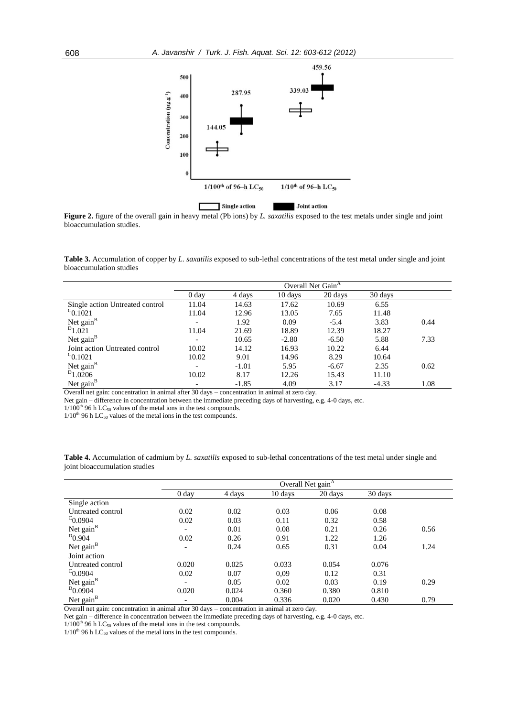

Figure 2. figure of the overall gain in heavy metal (Pb ions) by *L. saxatilis* exposed to the test metals under single and joint bioaccumulation studies.

**Table 3.** Accumulation of copper by *L. saxatilis* exposed to sub-lethal concentrations of the test metal under single and joint bioaccumulation studies

|                                 | Overall Net Gain <sup>A</sup> |         |         |         |         |      |
|---------------------------------|-------------------------------|---------|---------|---------|---------|------|
|                                 | 0 <sub>day</sub>              | 4 days  | 10 days | 20 days | 30 days |      |
| Single action Untreated control | 11.04                         | 14.63   | 17.62   | 10.69   | 6.55    |      |
| $C_{0.1021}$                    | 11.04                         | 12.96   | 13.05   | 7.65    | 11.48   |      |
| Net $gain^B$                    |                               | 1.92    | 0.09    | $-5.4$  | 3.83    | 0.44 |
| $D_{1.021}$                     | 11.04                         | 21.69   | 18.89   | 12.39   | 18.27   |      |
| Net $gain^B$                    |                               | 10.65   | $-2.80$ | $-6.50$ | 5.88    | 7.33 |
| Joint action Untreated control  | 10.02                         | 14.12   | 16.93   | 10.22   | 6.44    |      |
| $C_{0.1021}$                    | 10.02                         | 9.01    | 14.96   | 8.29    | 10.64   |      |
| Net $gainB$                     |                               | $-1.01$ | 5.95    | $-6.67$ | 2.35    | 0.62 |
| $D_{1.0206}$                    | 10.02                         | 8.17    | 12.26   | 15.43   | 11.10   |      |
| Net $gain^B$                    | - - -                         | $-1.85$ | 4.09    | 3.17    | $-4.33$ | 1.08 |

Overall net gain: concentration in animal after 30 days – concentration in animal at zero day.

Net gain – difference in concentration between the immediate preceding days of harvesting, e.g. 4-0 days, etc.

 $1/100^{th}$  96 h LC<sub>50</sub> values of the metal ions in the test compounds.

 $1/10^{th}$  96 h LC<sub>50</sub> values of the metal ions in the test compounds.

| Table 4. Accumulation of cadmium by L. saxatilis exposed to sub-lethal concentrations of the test metal under single and |  |  |
|--------------------------------------------------------------------------------------------------------------------------|--|--|
| ioint bioaccumulation studies                                                                                            |  |  |

|                   | Overall Net gain <sup>A</sup> |        |         |         |         |      |
|-------------------|-------------------------------|--------|---------|---------|---------|------|
|                   | 0 <sub>day</sub>              | 4 days | 10 days | 20 days | 30 days |      |
| Single action     |                               |        |         |         |         |      |
| Untreated control | 0.02                          | 0.02   | 0.03    | 0.06    | 0.08    |      |
| $^{c}$ 0.0904     | 0.02                          | 0.03   | 0.11    | 0.32    | 0.58    |      |
| Net $gainB$       |                               | 0.01   | 0.08    | 0.21    | 0.26    | 0.56 |
| $D_{0.904}$       | 0.02                          | 0.26   | 0.91    | 1.22    | 1.26    |      |
| Net $gainB$       | $\overline{\phantom{0}}$      | 0.24   | 0.65    | 0.31    | 0.04    | 1.24 |
| Joint action      |                               |        |         |         |         |      |
| Untreated control | 0.020                         | 0.025  | 0.033   | 0.054   | 0.076   |      |
| $C_{0.0904}$      | 0.02                          | 0.07   | 0.09    | 0.12    | 0.31    |      |
| Net $gain^B$      | $\overline{\phantom{0}}$      | 0.05   | 0.02    | 0.03    | 0.19    | 0.29 |
| $D_{0.0904}$      | 0.020                         | 0.024  | 0.360   | 0.380   | 0.810   |      |
| Net $gainB$       |                               | 0.004  | 0.336   | 0.020   | 0.430   | 0.79 |

Overall net gain: concentration in animal after 30 days – concentration in animal at zero day.

Net gain – difference in concentration between the immediate preceding days of harvesting, e.g. 4-0 days, etc.

 $1/100^{th}$  96 h LC<sub>50</sub> values of the metal ions in the test compounds.

 $1/10^{th}$  96 h LC<sub>50</sub> values of the metal ions in the test compounds.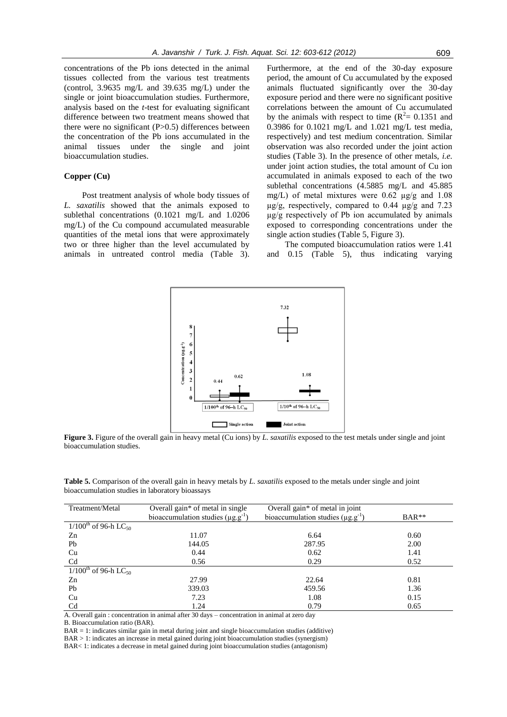concentrations of the Pb ions detected in the animal tissues collected from the various test treatments (control, 3.9635 mg/L and 39.635 mg/L) under the single or joint bioaccumulation studies. Furthermore, analysis based on the *t*-test for evaluating significant difference between two treatment means showed that there were no significant (P>0.5) differences between the concentration of the Pb ions accumulated in the animal tissues under the single and joint bioaccumulation studies.

## **Copper (Cu)**

Post treatment analysis of whole body tissues of *L. saxatilis* showed that the animals exposed to sublethal concentrations (0.1021 mg/L and 1.0206 mg/L) of the Cu compound accumulated measurable quantities of the metal ions that were approximately two or three higher than the level accumulated by animals in untreated control media (Table 3).

Furthermore, at the end of the 30-day exposure period, the amount of Cu accumulated by the exposed animals fluctuated significantly over the 30-day exposure period and there were no significant positive correlations between the amount of Cu accumulated by the animals with respect to time  $(R^2 = 0.1351$  and 0.3986 for 0.1021 mg/L and 1.021 mg/L test media, respectively) and test medium concentration. Similar observation was also recorded under the joint action studies (Table 3). In the presence of other metals, *i.e.* under joint action studies, the total amount of Cu ion accumulated in animals exposed to each of the two sublethal concentrations (4.5885 mg/L and 45.885 mg/L) of metal mixtures were 0.62 µg/g and 1.08  $\mu$ g/g, respectively, compared to 0.44  $\mu$ g/g and 7.23  $\mu$ g/g respectively of Pb ion accumulated by animals exposed to corresponding concentrations under the single action studies (Table 5, Figure 3).

The computed bioaccumulation ratios were 1.41 and 0.15 (Table 5), thus indicating varying



**Figure 3.** Figure of the overall gain in heavy metal (Cu ions) by *L. saxatilis* exposed to the test metals under single and joint bioaccumulation studies.

**Table 5.** Comparison of the overall gain in heavy metals by *L. saxatilis* exposed to the metals under single and joint bioaccumulation studies in laboratory bioassays

| Treatment/Metal                       | Overall gain* of metal in single         | Overall gain* of metal in joint                     |         |
|---------------------------------------|------------------------------------------|-----------------------------------------------------|---------|
|                                       | bioaccumulation studies $(\mu g.g^{-1})$ | bioaccumulation studies ( $\mu$ g.g <sup>-1</sup> ) | $BAR**$ |
| $1/100^{th}$ of 96-h LC <sub>50</sub> |                                          |                                                     |         |
| Zn                                    | 11.07                                    | 6.64                                                | 0.60    |
| Pb                                    | 144.05                                   | 287.95                                              | 2.00    |
| Cu                                    | 0.44                                     | 0.62                                                | 1.41    |
| C <sub>d</sub>                        | 0.56                                     | 0.29                                                | 0.52    |
| $1/100^{th}$ of 96-h LC <sub>50</sub> |                                          |                                                     |         |
| Zn                                    | 27.99                                    | 22.64                                               | 0.81    |
| Pb                                    | 339.03                                   | 459.56                                              | 1.36    |
| Cu                                    | 7.23                                     | 1.08                                                | 0.15    |
| C <sub>d</sub>                        | 1.24                                     | 0.79                                                | 0.65    |

A. Overall gain : concentration in animal after 30 days – concentration in animal at zero day

B. Bioaccumulation ratio (BAR).

 $BAR = 1$ : indicates similar gain in metal during joint and single bioaccumulation studies (additive)

BAR > 1: indicates an increase in metal gained during joint bioaccumulation studies (synergism)

BAR< 1: indicates a decrease in metal gained during joint bioaccumulation studies (antagonism)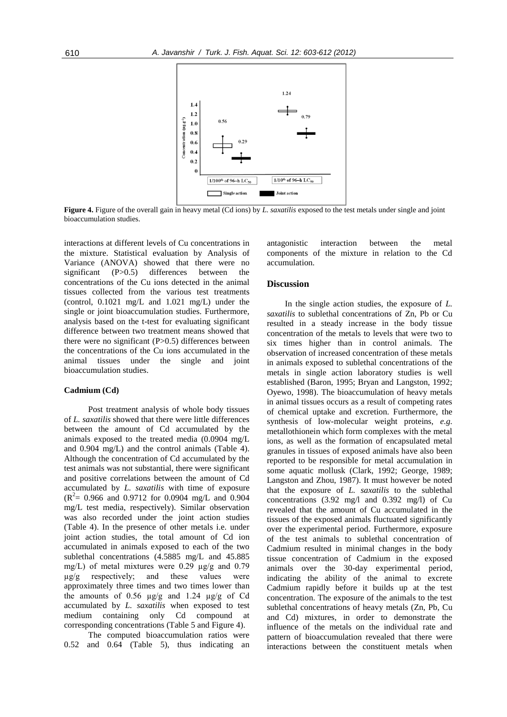

Figure 4. Figure of the overall gain in heavy metal (Cd ions) by *L. saxatilis* exposed to the test metals under single and joint bioaccumulation studies.

interactions at different levels of Cu concentrations in the mixture. Statistical evaluation by Analysis of Variance (ANOVA) showed that there were no significant (P>0.5) differences between the concentrations of the Cu ions detected in the animal tissues collected from the various test treatments (control, 0.1021 mg/L and 1.021 mg/L) under the single or joint bioaccumulation studies. Furthermore, analysis based on the t-test for evaluating significant difference between two treatment means showed that there were no significant  $(P>0.5)$  differences between the concentrations of the Cu ions accumulated in the animal tissues under the single and joint bioaccumulation studies.

#### **Cadmium (Cd)**

Post treatment analysis of whole body tissues of *L. saxatilis* showed that there were little differences between the amount of Cd accumulated by the animals exposed to the treated media (0.0904 mg/L and 0.904 mg/L) and the control animals (Table 4). Although the concentration of Cd accumulated by the test animals was not substantial, there were significant and positive correlations between the amount of Cd accumulated by *L. saxatilis* with time of exposure  $(R^2 = 0.966$  and 0.9712 for 0.0904 mg/L and 0.904 mg/L test media, respectively). Similar observation was also recorded under the joint action studies (Table 4). In the presence of other metals i.e. under joint action studies, the total amount of Cd ion accumulated in animals exposed to each of the two sublethal concentrations (4.5885 mg/L and 45.885 mg/L) of metal mixtures were  $0.29 \text{ ug/g}$  and  $0.79$  $\mu$ g/g respectively; and these values were approximately three times and two times lower than the amounts of  $0.56 \mu g/g$  and  $1.24 \mu g/g$  of Cd accumulated by *L. saxatilis* when exposed to test medium containing only Cd compound at corresponding concentrations (Table 5 and Figure 4).

The computed bioaccumulation ratios were 0.52 and 0.64 (Table 5), thus indicating an antagonistic interaction between the metal components of the mixture in relation to the Cd accumulation.

## **Discussion**

In the single action studies, the exposure of *L. saxatilis* to sublethal concentrations of Zn, Pb or Cu resulted in a steady increase in the body tissue concentration of the metals to levels that were two to six times higher than in control animals. The observation of increased concentration of these metals in animals exposed to sublethal concentrations of the metals in single action laboratory studies is well established (Baron, 1995; Bryan and Langston, 1992; Oyewo, 1998). The bioaccumulation of heavy metals in animal tissues occurs as a result of competing rates of chemical uptake and excretion. Furthermore, the synthesis of low-molecular weight proteins, *e.g.* metallothionein which form complexes with the metal ions, as well as the formation of encapsulated metal granules in tissues of exposed animals have also been reported to be responsible for metal accumulation in some aquatic mollusk (Clark, 1992; George, 1989; Langston and Zhou, 1987). It must however be noted that the exposure of *L. saxatilis* to the sublethal concentrations (3.92 mg/l and 0.392 mg/l) of Cu revealed that the amount of Cu accumulated in the tissues of the exposed animals fluctuated significantly over the experimental period. Furthermore, exposure of the test animals to sublethal concentration of Cadmium resulted in minimal changes in the body tissue concentration of Cadmium in the exposed animals over the 30-day experimental period, indicating the ability of the animal to excrete Cadmium rapidly before it builds up at the test concentration. The exposure of the animals to the test sublethal concentrations of heavy metals (Zn, Pb, Cu and Cd) mixtures, in order to demonstrate the influence of the metals on the individual rate and pattern of bioaccumulation revealed that there were interactions between the constituent metals when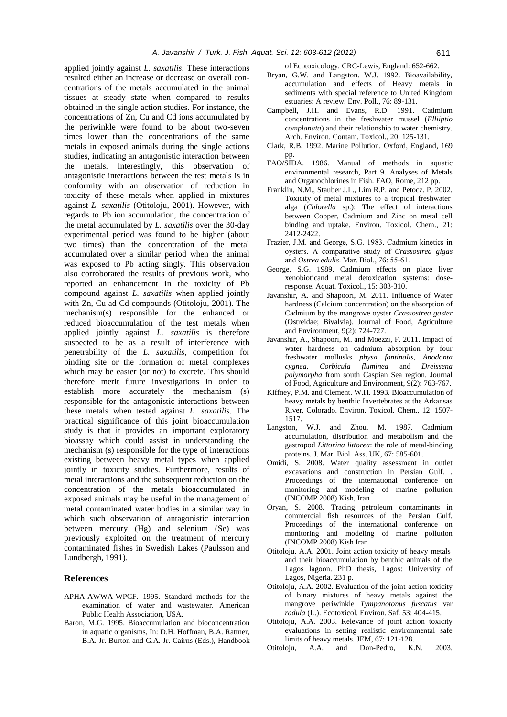applied jointly against *L. saxatilis*. These interactions resulted either an increase or decrease on overall concentrations of the metals accumulated in the animal tissues at steady state when compared to results obtained in the single action studies. For instance, the concentrations of Zn, Cu and Cd ions accumulated by the periwinkle were found to be about two-seven times lower than the concentrations of the same metals in exposed animals during the single actions studies, indicating an antagonistic interaction between the metals. Interestingly, this observation of antagonistic interactions between the test metals is in conformity with an observation of reduction in toxicity of these metals when applied in mixtures against *L. saxatilis* (Otitoloju, 2001). However, with regards to Pb ion accumulation, the concentration of the metal accumulated by *L. saxatilis* over the 30-day experimental period was found to be higher (about two times) than the concentration of the metal accumulated over a similar period when the animal was exposed to Pb acting singly. This observation also corroborated the results of previous work, who reported an enhancement in the toxicity of Pb compound against *L. saxatilis* when applied jointly with Zn, Cu ad Cd compounds (Otitoloju, 2001). The mechanism(s) responsible for the enhanced or reduced bioaccumulation of the test metals when applied jointly against *L. saxatilis* is therefore suspected to be as a result of interference with penetrability of the *L. saxatilis*, competition for binding site or the formation of metal complexes which may be easier (or not) to excrete. This should therefore merit future investigations in order to establish more accurately the mechanism (s) responsible for the antagonistic interactions between these metals when tested against *L. saxatilis*. The practical significance of this joint bioaccumulation study is that it provides an important exploratory bioassay which could assist in understanding the mechanism (s) responsible for the type of interactions existing between heavy metal types when applied jointly in toxicity studies. Furthermore, results of metal interactions and the subsequent reduction on the concentration of the metals bioaccumulated in exposed animals may be useful in the management of metal contaminated water bodies in a similar way in which such observation of antagonistic interaction between mercury (Hg) and selenium (Se) was previously exploited on the treatment of mercury contaminated fishes in Swedish Lakes (Paulsson and Lundbergh, 1991).

## **References**

- APHA-AWWA-WPCF. 1995. Standard methods for the examination of water and wastewater. American Public Health Association, USA.
- Baron, M.G. 1995. Bioaccumulation and bioconcentration in aquatic organisms, In: D.H. Hoffman, B.A. Rattner, B.A. Jr. Burton and G.A. Jr. Cairns (Eds.), Handbook

of Ecotoxicology. CRC-Lewis, England: 652-662.

- Bryan, G.W. and Langston. W.J. 1992. Bioavailability, accumulation and effects of Heavy metals in sediments with special reference to United Kingdom estuaries: A review. Env. Poll., 76: 89-131.
- Campbell, J.H. and Evans, R.D. 1991. Cadmium concentrations in the freshwater mussel (*Elliiptio complanata*) and their relationship to water chemistry. Arch. Environ. Contam. Toxicol., 20: 125-131.
- Clark, R.B. 1992. Marine Pollution. Oxford, England, 169 pp.
- FAO/SIDA. 1986. Manual of methods in aquatic environmental research, Part 9. Analyses of Metals and Organochlorines in Fish. FAO, Rome, 212 pp.
- Franklin, N.M., Stauber J.L., Lim R.P. and Petocz. P. 2002. Toxicity of metal mixtures to a tropical freshwater alga (*Chlorella* sp.): The effect of interactions between Copper, Cadmium and Zinc on metal cell binding and uptake. Environ. Toxicol. Chem., 21: 2412-2422.
- Frazier, J.M. and George, S.G. 1983. Cadmium kinetics in oysters. A comparative study of *Crassostrea gigas*  and *Ostrea edulis*. Mar. Biol., 76: 55-61.
- George, S.G. 1989. Cadmium effects on place liver xenobioticand metal detoxication systems: doseresponse. Aquat. Toxicol., 15: 303-310.
- Javanshir, A. and Shapoori, M. 2011. Influence of Water hardness (Calcium concentration) on the absorption of Cadmium by the mangrove oyster *Crassostrea gaster* (Ostreidae; Bivalvia). Journal of Food, Agriculture and Environment, 9(2): 724-727.
- Javanshir, A., Shapoori, M. and Moezzi, F. 2011. Impact of water hardness on cadmium absorption by four freshwater mollusks *physa fontinalis*, *Anodonta cygnea*, *Corbicula fluminea* and *Dreissena polymorpha* from south Caspian Sea region. Journal of Food, Agriculture and Environment, 9(2): 763-767.
- Kiffney, P.M. and Clement. W.H. 1993. Bioaccumulation of heavy metals by benthic Invertebrates at the Arkansas River, Colorado. Environ. Toxicol. Chem., 12: 1507- 1517.
- Langston, W.J. and Zhou. M. 1987. Cadmium accumulation, distribution and metabolism and the gastropod *Littorina littorea*: the role of metal-binding proteins. J. Mar. Biol. Ass. UK, 67: 585-601.
- Omidi, S. 2008. Water quality assessment in outlet excavations and construction in Persian Gulf. . Proceedings of the international conference on monitoring and modeling of marine pollution (INCOMP 2008) Kish, Iran
- Oryan, S. 2008. Tracing petroleum contaminants in commercial fish resources of the Persian Gulf. Proceedings of the international conference on monitoring and modeling of marine pollution (INCOMP 2008) Kish Iran
- Otitoloju, A.A. 2001. Joint action toxicity of heavy metals and their bioaccumulation by benthic animals of the Lagos lagoon. PhD thesis, Lagos: University of Lagos, Nigeria. 231 p.
- Otitoloju, A.A. 2002. Evaluation of the joint-action toxicity of binary mixtures of heavy metals against the mangrove periwinkle *Tympanotonus fuscatus* var *radula* (L.). Ecotoxicol. Environ. Saf. 53: 404-415.
- Otitoloju, A.A. 2003. Relevance of joint action toxicity evaluations in setting realistic environmental safe limits of heavy metals. JEM, 67: 121-128.
- Otitoloju, A.A. and Don-Pedro, K.N. 2003.